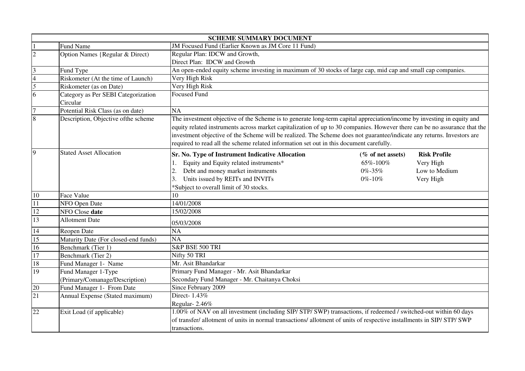|                         | <b>SCHEME SUMMARY DOCUMENT</b>                  |                                                                                                                                                                                                                                                                                                                                                                                                                                                                          |                                                   |                                                                |  |
|-------------------------|-------------------------------------------------|--------------------------------------------------------------------------------------------------------------------------------------------------------------------------------------------------------------------------------------------------------------------------------------------------------------------------------------------------------------------------------------------------------------------------------------------------------------------------|---------------------------------------------------|----------------------------------------------------------------|--|
|                         | Fund Name                                       | JM Focused Fund (Earlier Known as JM Core 11 Fund)                                                                                                                                                                                                                                                                                                                                                                                                                       |                                                   |                                                                |  |
| $\overline{2}$          | Option Names {Regular & Direct)                 | Regular Plan: IDCW and Growth,                                                                                                                                                                                                                                                                                                                                                                                                                                           |                                                   |                                                                |  |
|                         |                                                 | Direct Plan: IDCW and Growth                                                                                                                                                                                                                                                                                                                                                                                                                                             |                                                   |                                                                |  |
| $\overline{\mathbf{3}}$ | Fund Type                                       | An open-ended equity scheme investing in maximum of 30 stocks of large cap, mid cap and small cap companies.                                                                                                                                                                                                                                                                                                                                                             |                                                   |                                                                |  |
| $\overline{4}$          | Riskometer (At the time of Launch)              | Very High Risk                                                                                                                                                                                                                                                                                                                                                                                                                                                           |                                                   |                                                                |  |
| $\overline{5}$          | Riskometer (as on Date)                         | Very High Risk                                                                                                                                                                                                                                                                                                                                                                                                                                                           |                                                   |                                                                |  |
| $\overline{6}$          | Category as Per SEBI Categorization<br>Circular | <b>Focused Fund</b>                                                                                                                                                                                                                                                                                                                                                                                                                                                      |                                                   |                                                                |  |
| $\overline{7}$          | Potential Risk Class (as on date)               | $\overline{NA}$                                                                                                                                                                                                                                                                                                                                                                                                                                                          |                                                   |                                                                |  |
| $\overline{8}$          | Description, Objective of the scheme            |                                                                                                                                                                                                                                                                                                                                                                                                                                                                          |                                                   |                                                                |  |
|                         |                                                 | The investment objective of the Scheme is to generate long-term capital appreciation/income by investing in equity and<br>equity related instruments across market capitalization of up to 30 companies. However there can be no assurance that the<br>investment objective of the Scheme will be realized. The Scheme does not guarantee/indicate any returns. Investors are<br>required to read all the scheme related information set out in this document carefully. |                                                   |                                                                |  |
| 9                       | <b>Stated Asset Allocation</b>                  | Sr. No. Type of Instrument Indicative Allocation<br>Equity and Equity related instruments*<br>1.<br>Debt and money market instruments<br>2.<br>Units issued by REITs and INVITs<br>3.<br>*Subject to overall limit of 30 stocks.                                                                                                                                                                                                                                         | (% of net assets)<br>65%-100%<br>0%-35%<br>0%-10% | <b>Risk Profile</b><br>Very High<br>Low to Medium<br>Very High |  |
| 10                      | Face Value                                      | 10                                                                                                                                                                                                                                                                                                                                                                                                                                                                       |                                                   |                                                                |  |
| 11                      | NFO Open Date                                   | 14/01/2008                                                                                                                                                                                                                                                                                                                                                                                                                                                               |                                                   |                                                                |  |
| 12                      | NFO Close date                                  | 15/02/2008                                                                                                                                                                                                                                                                                                                                                                                                                                                               |                                                   |                                                                |  |
| 13                      | <b>Allotment Date</b>                           | 05/03/2008                                                                                                                                                                                                                                                                                                                                                                                                                                                               |                                                   |                                                                |  |
| 14                      | Reopen Date                                     | <b>NA</b>                                                                                                                                                                                                                                                                                                                                                                                                                                                                |                                                   |                                                                |  |
| 15                      | Maturity Date (For closed-end funds)            | $\overline{NA}$                                                                                                                                                                                                                                                                                                                                                                                                                                                          |                                                   |                                                                |  |
| 16                      | Benchmark (Tier 1)                              | S&P BSE 500 TRI                                                                                                                                                                                                                                                                                                                                                                                                                                                          |                                                   |                                                                |  |
| 17                      | Benchmark (Tier 2)                              | Nifty 50 TRI                                                                                                                                                                                                                                                                                                                                                                                                                                                             |                                                   |                                                                |  |
| 18                      | Fund Manager 1- Name                            | Mr. Asit Bhandarkar                                                                                                                                                                                                                                                                                                                                                                                                                                                      |                                                   |                                                                |  |
| 19                      | Fund Manager 1-Type                             | Primary Fund Manager - Mr. Asit Bhandarkar                                                                                                                                                                                                                                                                                                                                                                                                                               |                                                   |                                                                |  |
|                         | (Primary/Comanage/Description)                  | Secondary Fund Manager - Mr. Chaitanya Choksi                                                                                                                                                                                                                                                                                                                                                                                                                            |                                                   |                                                                |  |
| 20                      | Fund Manager 1- From Date                       | Since February 2009                                                                                                                                                                                                                                                                                                                                                                                                                                                      |                                                   |                                                                |  |
| $\overline{21}$         | Annual Expense (Stated maximum)                 | Direct-1.43%                                                                                                                                                                                                                                                                                                                                                                                                                                                             |                                                   |                                                                |  |
|                         |                                                 | Regular-2.46%                                                                                                                                                                                                                                                                                                                                                                                                                                                            |                                                   |                                                                |  |
| $\overline{22}$         | Exit Load (if applicable)                       | 1.00% of NAV on all investment (including SIP/ STP/ SWP) transactions, if redeemed / switched-out within 60 days<br>of transfer/allotment of units in normal transactions/allotment of units of respective installments in SIP/STP/SWP<br>transactions.                                                                                                                                                                                                                  |                                                   |                                                                |  |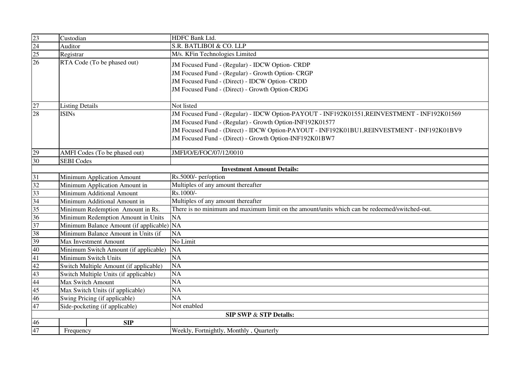| $\frac{23}{24}$<br>$\frac{25}{25}$ | Custodian                                 | <b>HDFC Bank Ltd.</b>                                                                                                                                                                                                                                                                                              |  |
|------------------------------------|-------------------------------------------|--------------------------------------------------------------------------------------------------------------------------------------------------------------------------------------------------------------------------------------------------------------------------------------------------------------------|--|
|                                    | Auditor                                   | S.R. BATLIBOI & CO. LLP                                                                                                                                                                                                                                                                                            |  |
|                                    | Registrar                                 | M/s. KFin Technologies Limited                                                                                                                                                                                                                                                                                     |  |
|                                    | RTA Code (To be phased out)               | JM Focused Fund - (Regular) - IDCW Option- CRDP<br>JM Focused Fund - (Regular) - Growth Option- CRGP<br>JM Focused Fund - (Direct) - IDCW Option- CRDD<br>JM Focused Fund - (Direct) - Growth Option-CRDG                                                                                                          |  |
|                                    | <b>Listing Details</b>                    | Not listed                                                                                                                                                                                                                                                                                                         |  |
| $\frac{27}{28}$                    | <b>ISINs</b>                              | JM Focused Fund - (Regular) - IDCW Option-PAYOUT - INF192K01551, REINVESTMENT - INF192K01569<br>JM Focused Fund - (Regular) - Growth Option-INF192K01577<br>JM Focused Fund - (Direct) - IDCW Option-PAYOUT - INF192K01BU1, REINVESTMENT - INF192K01BV9<br>JM Focused Fund - (Direct) - Growth Option-INF192K01BW7 |  |
| 29                                 | AMFI Codes (To be phased out)             | JMFI/O/E/FOC/07/12/0010                                                                                                                                                                                                                                                                                            |  |
| 30                                 | <b>SEBI Codes</b>                         |                                                                                                                                                                                                                                                                                                                    |  |
|                                    |                                           | <b>Investment Amount Details:</b>                                                                                                                                                                                                                                                                                  |  |
| 31                                 | Minimum Application Amount                | Rs.5000/- per/option                                                                                                                                                                                                                                                                                               |  |
| 32                                 | Minimum Application Amount in             | Multiples of any amount thereafter                                                                                                                                                                                                                                                                                 |  |
| 33                                 | Minimum Additional Amount                 | Rs.1000/-                                                                                                                                                                                                                                                                                                          |  |
| 34                                 | Minimum Additional Amount in              | Multiples of any amount thereafter                                                                                                                                                                                                                                                                                 |  |
| 35                                 | Minimum Redemption Amount in Rs.          | There is no minimum and maximum limit on the amount/units which can be redeemed/switched-out.                                                                                                                                                                                                                      |  |
| 36                                 | Minimum Redemption Amount in Units        | NA                                                                                                                                                                                                                                                                                                                 |  |
| 37                                 | Minimum Balance Amount (if applicable) NA |                                                                                                                                                                                                                                                                                                                    |  |
| 38                                 | Minimum Balance Amount in Units (if       | NA                                                                                                                                                                                                                                                                                                                 |  |
| 39                                 | <b>Max Investment Amount</b>              | No Limit                                                                                                                                                                                                                                                                                                           |  |
| 40                                 | Minimum Switch Amount (if applicable)     | NA                                                                                                                                                                                                                                                                                                                 |  |
| 41                                 | Minimum Switch Units                      | $\overline{NA}$                                                                                                                                                                                                                                                                                                    |  |
| 42                                 | Switch Multiple Amount (if applicable)    | NA                                                                                                                                                                                                                                                                                                                 |  |
| 43                                 | Switch Multiple Units (if applicable)     | $\overline{NA}$                                                                                                                                                                                                                                                                                                    |  |
| 44                                 | <b>Max Switch Amount</b>                  | NA                                                                                                                                                                                                                                                                                                                 |  |
| $\overline{45}$                    | Max Switch Units (if applicable)          | NA                                                                                                                                                                                                                                                                                                                 |  |
| 46                                 | Swing Pricing (if applicable)             | $\overline{NA}$                                                                                                                                                                                                                                                                                                    |  |
| 47                                 | Side-pocketing (if applicable)            | Not enabled                                                                                                                                                                                                                                                                                                        |  |
|                                    |                                           | <b>SIP SWP &amp; STP Details:</b>                                                                                                                                                                                                                                                                                  |  |
| 46                                 | <b>SIP</b>                                |                                                                                                                                                                                                                                                                                                                    |  |
| 47                                 | Frequency                                 | Weekly, Fortnightly, Monthly, Quarterly                                                                                                                                                                                                                                                                            |  |